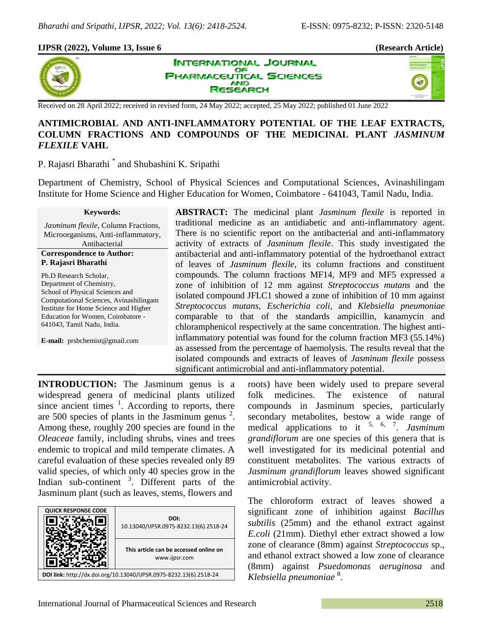## **IJPSR (2022), Volume 13, Issue 6 (Research Article)**



**INTERNATIONAL JOURNAL** OF **HARMACEUTICAL SCIENCES AND ESEARCH** 



Received on 28 April 2022; received in revised form, 24 May 2022; accepted, 25 May 2022; published 01 June 2022

# **ANTIMICROBIAL AND ANTI-INFLAMMATORY POTENTIAL OF THE LEAF EXTRACTS, COLUMN FRACTIONS AND COMPOUNDS OF THE MEDICINAL PLANT** *JASMINUM FLEXILE* **VAHL**

P. Rajasri Bharathi<sup>\*</sup> and Shubashini K. Sripathi

Department of Chemistry, School of Physical Sciences and Computational Sciences, Avinashilingam Institute for Home Science and Higher Education for Women, Coimbatore - 641043, Tamil Nadu, India.

### **Keywords:**

*Jasminum flexile*, Column Fractions, Microorganisms, Anti-inflammatory, Antibacterial

**Correspondence to Author: P. Rajasri Bharathi**

Ph.D Research Scholar, Department of Chemistry, School of Physical Sciences and Computational Sciences, Avinashilingam Institute for Home Science and Higher Education for Women, Coimbatore - 641043, Tamil Nadu, India.

**E-mail:** prsbchemist@gmail.com

**ABSTRACT:** The medicinal plant *Jasminum flexile* is reported in traditional medicine as an antidiabetic and anti-inflammatory agent. There is no scientific report on the antibacterial and anti-inflammatory activity of extracts of *Jasminum flexile*. This study investigated the antibacterial and anti-inflammatory potential of the hydroethanol extract of leaves of *Jasminum flexile*, its column fractions and constituent compounds. The column fractions MF14, MF9 and MF5 expressed a zone of inhibition of 12 mm against *Streptococcus mutans* and the isolated compound JFLC1 showed a zone of inhibition of 10 mm against *Streptococcus mutans, Escherichia coli,* and *Klebsiella pneumoniae* comparable to that of the standards ampicillin, kanamycin and chloramphenicol respectively at the same concentration. The highest antiinflammatory potential was found for the column fraction MF3 (55.14%) as assessed from the percentage of haemolysis. The results reveal that the isolated compounds and extracts of leaves of *Jasminum flexile* possess significant antimicrobial and anti-inflammatory potential.

**INTRODUCTION:** The Jasminum genus is a widespread genera of medicinal plants utilized since ancient times  $\frac{1}{1}$ . According to reports, there are 500 species of plants in the Jasminum genus  $2$ . Among these, roughly 200 species are found in the *Oleaceae* family, including shrubs, vines and trees endemic to tropical and mild temperate climates. A careful evaluation of these species revealed only 89 valid species, of which only 40 species grow in the Indian sub-continent <sup>3</sup>. Different parts of the Jasminum plant (such as leaves, stems, flowers and



roots) have been widely used to prepare several folk medicines. The existence of natural compounds in Jasminum species, particularly secondary metabolites, bestow a wide range of medical applications to it 5, 6, 7 . *Jasminum grandiflorum* are one species of this genera that is well investigated for its medicinal potential and constituent metabolites. The various extracts of *Jasminum grandiflorum* leaves showed significant antimicrobial activity.

The chloroform extract of leaves showed a significant zone of inhibition against *Bacillus subtilis* (25mm) and the ethanol extract against *E.coli* (21mm). Diethyl ether extract showed a low zone of clearance (8mm) against *Streptococcus* sp., and ethanol extract showed a low zone of clearance (8mm) against *Psuedomonas aeruginosa* and *Klebsiella pneumoniae* 8 .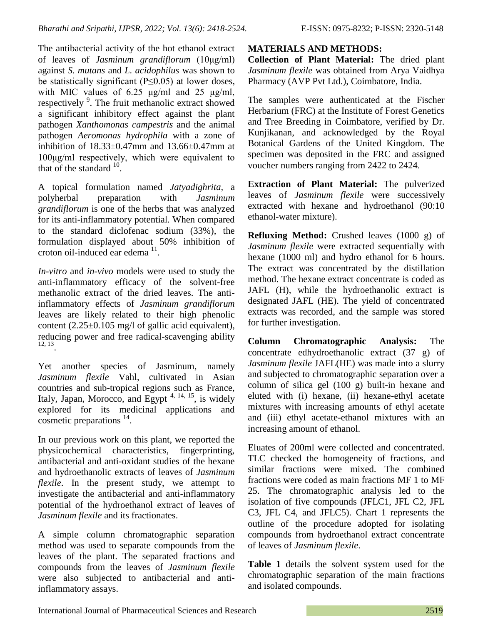The antibacterial activity of the hot ethanol extract of leaves of *Jasminum grandiflorum* (10μg/ml) against *S. mutans* and *L. acidophilus* was shown to be statistically significant ( $P \le 0.05$ ) at lower doses, with MIC values of  $6.25 \text{ µg/ml}$  and  $25 \text{ µg/ml}$ , respectively<sup>9</sup>. The fruit methanolic extract showed a significant inhibitory effect against the plant pathogen *Xanthomonas campestris* and the animal pathogen *Aeromonas hydrophila* with a zone of inhibition of  $18.33\pm0.47$ mm and  $13.66\pm0.47$ mm at 100μg/ml respectively, which were equivalent to that of the standard  $10$ .

A topical formulation named *Jatyadighrita,* a polyherbal preparation with *Jasminum grandiflorum* is one of the herbs that was analyzed for its anti-inflammatory potential. When compared to the standard diclofenac sodium (33%), the formulation displayed about 50% inhibition of  $c$ roton oil-induced ear edema $11$ .

*In-vitro* and *in-vivo* models were used to study the anti-inflammatory efficacy of the solvent-free methanolic extract of the dried leaves. The antiinflammatory effects of *Jasminum grandiflorum* leaves are likely related to their high phenolic content  $(2.25\pm0.105 \text{ mg/l})$  of gallic acid equivalent), reducing power and free radical-scavenging ability 12, 13 .

Yet another species of Jasminum, namely *Jasminum flexile* Vahl, cultivated in Asian countries and sub-tropical regions such as France, Italy, Japan, Morocco, and Egypt  $4, 14, 15$ , is widely explored for its medicinal applications and cosmetic preparations<sup>14</sup>.

In our previous work on this plant, we reported the physicochemical characteristics, fingerprinting, antibacterial and anti-oxidant studies of the hexane and hydroethanolic extracts of leaves of *Jasminum flexile*. In the present study, we attempt to investigate the antibacterial and anti-inflammatory potential of the hydroethanol extract of leaves of *Jasminum flexile* and its fractionates.

A simple column chromatographic separation method was used to separate compounds from the leaves of the plant. The separated fractions and compounds from the leaves of *Jasminum flexile* were also subjected to antibacterial and antiinflammatory assays.

**MATERIALS AND METHODS:**

**Collection of Plant Material:** The dried plant *Jasminum flexile* was obtained from Arya Vaidhya Pharmacy (AVP Pvt Ltd.), Coimbatore, India.

The samples were authenticated at the Fischer Herbarium (FRC) at the Institute of Forest Genetics and Tree Breeding in Coimbatore, verified by Dr. Kunjikanan, and acknowledged by the Royal Botanical Gardens of the United Kingdom. The specimen was deposited in the FRC and assigned voucher numbers ranging from 2422 to 2424.

**Extraction of Plant Material:** The pulverized leaves of *Jasminum flexile* were successively extracted with hexane and hydroethanol (90:10 ethanol-water mixture).

**Refluxing Method:** Crushed leaves (1000 g) of *Jasminum flexile* were extracted sequentially with hexane (1000 ml) and hydro ethanol for 6 hours. The extract was concentrated by the distillation method. The hexane extract concentrate is coded as JAFL (H), while the hydroethanolic extract is designated JAFL (HE). The yield of concentrated extracts was recorded, and the sample was stored for further investigation.

**Column Chromatographic Analysis:** The concentrate edhydroethanolic extract (37 g) of *Jasminum flexile* JAFL(HE) was made into a slurry and subjected to chromatographic separation over a column of silica gel (100 g) built-in hexane and eluted with (i) hexane, (ii) hexane-ethyl acetate mixtures with increasing amounts of ethyl acetate and (iii) ethyl acetate-ethanol mixtures with an increasing amount of ethanol.

Eluates of 200ml were collected and concentrated. TLC checked the homogeneity of fractions, and similar fractions were mixed. The combined fractions were coded as main fractions MF 1 to MF 25. The chromatographic analysis led to the isolation of five compounds (JFLC1, JFL C2, JFL C3, JFL C4, and JFLC5). Chart 1 represents the outline of the procedure adopted for isolating compounds from hydroethanol extract concentrate of leaves of *Jasminum flexile*.

**Table 1** details the solvent system used for the chromatographic separation of the main fractions and isolated compounds.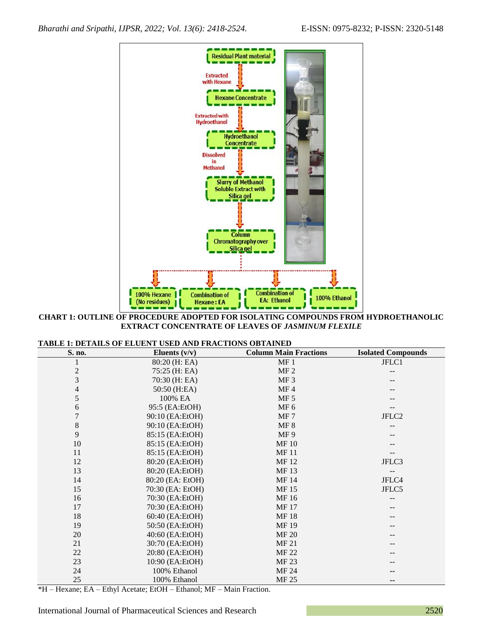

**CHART 1: OUTLINE OF PROCEDURE ADOPTED FOR ISOLATING COMPOUNDS FROM HYDROETHANOLIC EXTRACT CONCENTRATE OF LEAVES OF** *JASMINUM FLEXILE*

| <b>TABLE 1: DETAILS OF ELUENT USED AND FRACTIONS OBTAINED</b> |  |
|---------------------------------------------------------------|--|
|---------------------------------------------------------------|--|

| S. no.         | Eluents $(v/v)$  | <b>Column Main Fractions</b> | <b>Isolated Compounds</b> |
|----------------|------------------|------------------------------|---------------------------|
|                | 80:20 (H: EA)    | MF <sub>1</sub>              | JFLC1                     |
| $\overline{c}$ | 75:25 (H: EA)    | MF <sub>2</sub>              |                           |
| 3              | 70:30 (H: EA)    | MF <sub>3</sub>              |                           |
| $\overline{4}$ | 50:50 (H:EA)     | MF4                          |                           |
| 5              | 100% EA          | MF <sub>5</sub>              |                           |
| 6              | 95:5 (EA:EtOH)   | MF <sub>6</sub>              |                           |
|                | 90:10 (EA:EtOH)  | MF7                          | JFLC <sub>2</sub>         |
| $8\,$          | 90:10 (EA:EtOH)  | MF 8                         |                           |
| 9              | 85:15 (EA:EtOH)  | MF9                          |                           |
| 10             | 85:15 (EA:EtOH)  | <b>MF10</b>                  |                           |
| 11             | 85:15 (EA:EtOH)  | <b>MF11</b>                  |                           |
| 12             | 80:20 (EA:EtOH)  | MF 12                        | JFLC3                     |
| 13             | 80:20 (EA:EtOH)  | MF 13                        |                           |
| 14             | 80:20 (EA: EtOH) | MF 14                        | JFLC4                     |
| 15             | 70:30 (EA: EtOH) | <b>MF15</b>                  | JFLC5                     |
| 16             | 70:30 (EA:EtOH)  | MF 16                        |                           |
| 17             | 70:30 (EA:EtOH)  | <b>MF17</b>                  |                           |
| 18             | 60:40 (EA:EtOH)  | <b>MF18</b>                  |                           |
| 19             | 50:50 (EA:EtOH)  | <b>MF19</b>                  |                           |
| 20             | 40:60 (EA:EtOH)  | <b>MF 20</b>                 |                           |
| 21             | 30:70 (EA:EtOH)  | MF 21                        |                           |
| 22             | 20:80 (EA:EtOH)  | MF 22                        |                           |
| 23             | 10:90 (EA:EtOH)  | MF 23                        |                           |
| 24             | 100% Ethanol     | MF 24                        |                           |
| 25             | 100% Ethanol     | MF 25                        |                           |

\*H – Hexane; EA – Ethyl Acetate; EtOH – Ethanol; MF – Main Fraction.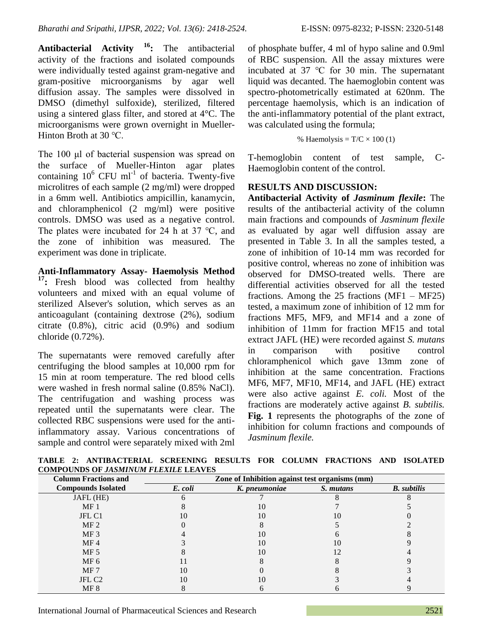**Antibacterial Activity <sup>16</sup>:** The antibacterial activity of the fractions and isolated compounds were individually tested against gram-negative and gram-positive microorganisms by agar well diffusion assay. The samples were dissolved in DMSO (dimethyl sulfoxide), sterilized, filtered using a sintered glass filter, and stored at 4°C. The microorganisms were grown overnight in Mueller-Hinton Broth at 30 ℃.

The 100 μl of bacterial suspension was spread on the surface of Mueller-Hinton agar plates containing  $10^6$  CFU ml<sup>-1</sup> of bacteria. Twenty-five microlitres of each sample (2 mg/ml) were dropped in a 6mm well. Antibiotics ampicillin, kanamycin, and chloramphenicol (2 mg/ml) were positive controls. DMSO was used as a negative control. The plates were incubated for 24 h at 37 ℃, and the zone of inhibition was measured. The experiment was done in triplicate.

**Anti-Inflammatory Assay- Haemolysis Method <sup>17</sup>:** Fresh blood was collected from healthy volunteers and mixed with an equal volume of sterilized Alsever's solution, which serves as an anticoagulant (containing dextrose (2%), sodium citrate (0.8%), citric acid (0.9%) and sodium chloride (0.72%).

The supernatants were removed carefully after centrifuging the blood samples at 10,000 rpm for 15 min at room temperature. The red blood cells were washed in fresh normal saline (0.85% NaCl). The centrifugation and washing process was repeated until the supernatants were clear. The collected RBC suspensions were used for the antiinflammatory assay. Various concentrations of sample and control were separately mixed with 2ml of phosphate buffer, 4 ml of hypo saline and 0.9ml of RBC suspension. All the assay mixtures were incubated at 37 ℃ for 30 min. The supernatant liquid was decanted. The haemoglobin content was spectro-photometrically estimated at 620nm. The percentage haemolysis, which is an indication of the anti-inflammatory potential of the plant extract, was calculated using the formula;

% Haemolysis = 
$$
T/C \times 100
$$
 (1)

T-hemoglobin content of test sample, C-Haemoglobin content of the control.

## **RESULTS AND DISCUSSION:**

**Antibacterial Activity of** *Jasminum flexile***:** The results of the antibacterial activity of the column main fractions and compounds of *Jasminum flexile* as evaluated by agar well diffusion assay are presented in Table 3. In all the samples tested, a zone of inhibition of 10-14 mm was recorded for positive control, whereas no zone of inhibition was observed for DMSO-treated wells. There are differential activities observed for all the tested fractions. Among the 25 fractions  $(MF1 - MF25)$ tested, a maximum zone of inhibition of 12 mm for fractions MF5, MF9, and MF14 and a zone of inhibition of 11mm for fraction MF15 and total extract JAFL (HE) were recorded against *S. mutans* in comparison with positive control chloramphenicol which gave 13mm zone of inhibition at the same concentration. Fractions MF6, MF7, MF10, MF14, and JAFL (HE) extract were also active against *E. coli.* Most of the fractions are moderately active against *B. subtilis.*  **Fig. 1** represents the photographs of the zone of inhibition for column fractions and compounds of *Jasminum flexile.*

**TABLE 2: ANTIBACTERIAL SCREENING RESULTS FOR COLUMN FRACTIONS AND ISOLATED COMPOUNDS OF** *JASMINUM FLEXILE* **LEAVES**

| <b>Column Fractions and</b> | Zone of Inhibition against test organisms (mm) |                          |           |                    |
|-----------------------------|------------------------------------------------|--------------------------|-----------|--------------------|
| <b>Compounds Isolated</b>   | E. coli                                        | K. pneumoniae            | S. mutans | <b>B.</b> subtilis |
| JAFL (HE)                   |                                                |                          |           |                    |
| MF <sub>1</sub>             |                                                |                          |           |                    |
| JFL C1                      |                                                | 10                       | 10        |                    |
| MF <sub>2</sub>             |                                                |                          |           |                    |
| MF <sub>3</sub>             |                                                |                          |           |                    |
| MF <sub>4</sub>             |                                                | $\mathbf{I}(\mathbf{I})$ | 10        |                    |
| MF <sub>5</sub>             |                                                | $\mathbf{I}(\mathbf{I})$ |           |                    |
| MF <sub>6</sub>             |                                                |                          |           |                    |
| MF 7                        |                                                |                          |           |                    |
| JFL C <sub>2</sub>          |                                                |                          |           |                    |
| MF 8                        |                                                |                          |           |                    |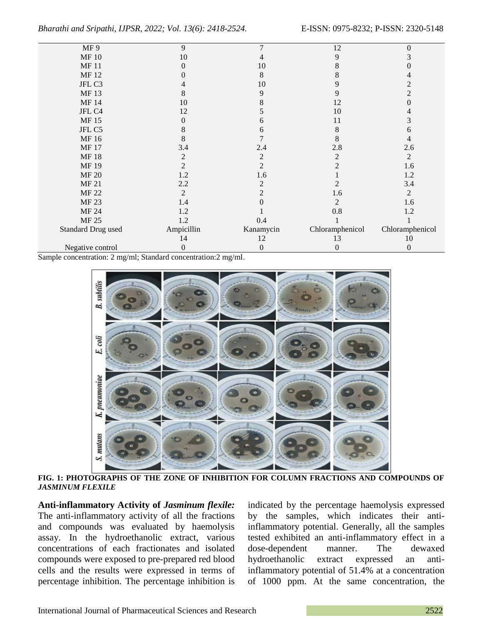| MF9                       | 9                | 7              | 12              | $\theta$         |
|---------------------------|------------------|----------------|-----------------|------------------|
| <b>MF10</b>               | 10               | 4              | 9               | 3                |
| <b>MF11</b>               | $\overline{0}$   | 10             | 8               | 0                |
| MF 12                     | $\Omega$         | 8              | 8               | 4                |
| JFL C3                    | 4                | 10             | 9               | $\overline{c}$   |
| MF 13                     | 8                | 9              | 9               | $\overline{2}$   |
| MF 14                     | 10               | 8              | 12              | $\boldsymbol{0}$ |
| JFL C4                    | 12               |                | 10              | 4                |
| MF 15                     | $\boldsymbol{0}$ | 6              | 11              | 3                |
| JFL C5                    | 8                | 6              | 8               | 6                |
| MF 16                     | 8                |                | 8               | 4                |
| <b>MF17</b>               | 3.4              | 2.4            | 2.8             | 2.6              |
| <b>MF18</b>               | $\overline{c}$   | $\overline{2}$ | $\overline{2}$  | $\overline{2}$   |
| MF 19                     | $\overline{2}$   | $\overline{c}$ | 2               | 1.6              |
| <b>MF 20</b>              | 1.2              | 1.6            |                 | 1.2              |
| MF 21                     | 2.2              | 2              | 2               | 3.4              |
| <b>MF 22</b>              | $\overline{2}$   | $\overline{2}$ | 1.6             | $\overline{c}$   |
| MF 23                     | 1.4              |                | 2               | 1.6              |
| MF 24                     | 1.2              |                | 0.8             | 1.2              |
| MF 25                     | 1.2              | 0.4            |                 |                  |
| <b>Standard Drug used</b> | Ampicillin       | Kanamycin      | Chloramphenicol | Chloramphenicol  |
|                           | 14               | 12             | 13              | 10               |
| Negative control          | $\boldsymbol{0}$ | 0              | 0               | $\theta$         |
|                           |                  |                |                 |                  |

Sample concentration: 2 mg/ml; Standard concentration:2 mg/ml.



**FIG. 1: PHOTOGRAPHS OF THE ZONE OF INHIBITION FOR COLUMN FRACTIONS AND COMPOUNDS OF**  *JASMINUM FLEXILE*

**Anti-inflammatory Activity of** *Jasminum flexile:*  The anti-inflammatory activity of all the fractions and compounds was evaluated by haemolysis assay. In the hydroethanolic extract, various concentrations of each fractionates and isolated compounds were exposed to pre-prepared red blood cells and the results were expressed in terms of percentage inhibition. The percentage inhibition is

indicated by the percentage haemolysis expressed by the samples, which indicates their antiinflammatory potential. Generally, all the samples tested exhibited an anti-inflammatory effect in a dose-dependent manner. The dewaxed hydroethanolic extract expressed an antiinflammatory potential of 51.4% at a concentration of 1000 ppm. At the same concentration, the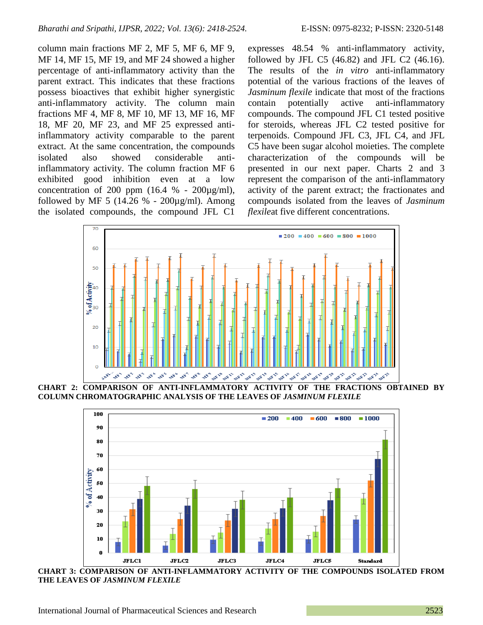column main fractions MF 2, MF 5, MF 6, MF 9, MF 14, MF 15, MF 19, and MF 24 showed a higher percentage of anti-inflammatory activity than the parent extract. This indicates that these fractions possess bioactives that exhibit higher synergistic anti-inflammatory activity. The column main fractions MF 4, MF 8, MF 10, MF 13, MF 16, MF 18, MF 20, MF 23, and MF 25 expressed antiinflammatory activity comparable to the parent extract. At the same concentration, the compounds isolated also showed considerable antiinflammatory activity. The column fraction MF 6 exhibited good inhibition even at a low concentration of 200 ppm  $(16.4 % - 200\mu\text{g/ml})$ , followed by MF 5 (14.26 % -  $200\mu\text{g/ml}$ ). Among the isolated compounds, the compound JFL C1

expresses 48.54 % anti-inflammatory activity, followed by JFL C5 (46.82) and JFL C2 (46.16). The results of the *in vitro* anti-inflammatory potential of the various fractions of the leaves of *Jasminum flexile* indicate that most of the fractions contain potentially active anti-inflammatory compounds. The compound JFL C1 tested positive for steroids, whereas JFL C2 tested positive for terpenoids. Compound JFL C3, JFL C4, and JFL C5 have been sugar alcohol moieties. The complete characterization of the compounds will be presented in our next paper. Charts 2 and 3 represent the comparison of the anti-inflammatory activity of the parent extract; the fractionates and compounds isolated from the leaves of *Jasminum flexile*at five different concentrations.



**COLUMN CHROMATOGRAPHIC ANALYSIS OF THE LEAVES OF** *JASMINUM FLEXILE*



**CHART 3: COMPARISON OF ANTI-INFLAMMATORY ACTIVITY OF THE COMPOUNDS ISOLATED FROM THE LEAVES OF** *JASMINUM FLEXILE*